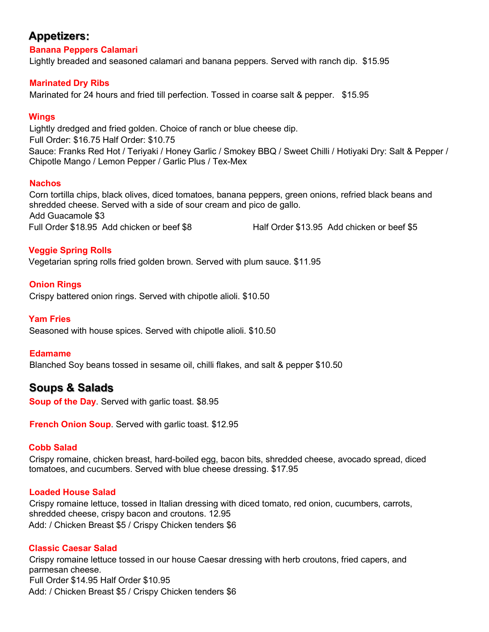## **Appetizers:**

**Banana Peppers Calamari**

Lightly breaded and seasoned calamari and banana peppers. Served with ranch dip. \$15.95

## **Marinated Dry Ribs**

Marinated for 24 hours and fried till perfection. Tossed in coarse salt & pepper. \$15.95

## **Wings**

Lightly dredged and fried golden. Choice of ranch or blue cheese dip. Full Order: \$16.75 Half Order: \$10.75 Sauce: Franks Red Hot / Teriyaki / Honey Garlic / Smokey BBQ / Sweet Chilli / Hotiyaki Dry: Salt & Pepper / Chipotle Mango / Lemon Pepper / Garlic Plus / Tex-Mex

## **Nachos**

Corn tortilla chips, black olives, diced tomatoes, banana peppers, green onions, refried black beans and shredded cheese. Served with a side of sour cream and pico de gallo. Add Guacamole \$3 Full Order \$18.95 Add chicken or beef \$8 Half Order \$13.95 Add chicken or beef \$5

## **Veggie Spring Rolls**

Vegetarian spring rolls fried golden brown. Served with plum sauce. \$11.95

**Onion Rings** Crispy battered onion rings. Served with chipotle alioli. \$10.50

#### **Yam Fries**

Seasoned with house spices. Served with chipotle alioli. \$10.50

#### **Edamame**

Blanched Soy beans tossed in sesame oil, chilli flakes, and salt & pepper \$10.50

## **Soups & Salads**

**Soup of the Day**. Served with garlic toast. \$8.95

**French Onion Soup**. Served with garlic toast. \$12.95

#### **Cobb Salad**

Crispy romaine, chicken breast, hard-boiled egg, bacon bits, shredded cheese, avocado spread, diced tomatoes, and cucumbers. Served with blue cheese dressing. \$17.95

## **Loaded House Salad**

Crispy romaine lettuce, tossed in Italian dressing with diced tomato, red onion, cucumbers, carrots, shredded cheese, crispy bacon and croutons. 12.95 Add: / Chicken Breast \$5 / Crispy Chicken tenders \$6

#### **Classic Caesar Salad**

Crispy romaine lettuce tossed in our house Caesar dressing with herb croutons, fried capers, and parmesan cheese. Full Order \$14.95 Half Order \$10.95 Add: / Chicken Breast \$5 / Crispy Chicken tenders \$6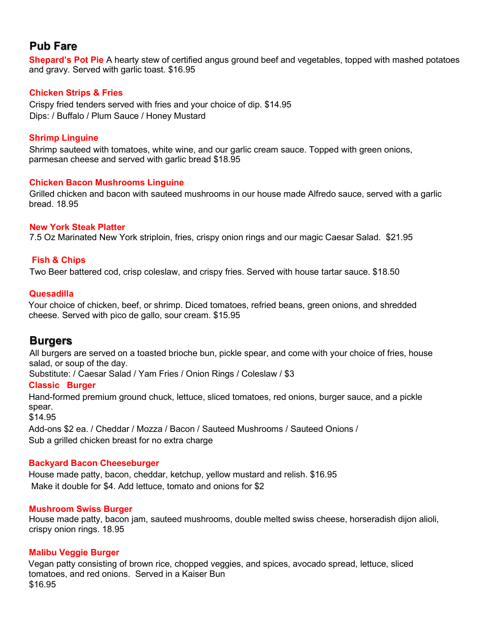# **Pub Fare**

**Shepard's Pot Pie** A hearty stew of certified angus ground beef and vegetables, topped with mashed potatoes and gravy. Served with garlic toast. \$16.95

## **Chicken Strips & Fries**

Crispy fried tenders served with fries and your choice of dip. \$14.95 Dips: / Buffalo / Plum Sauce / Honey Mustard

## **Shrimp Linguine**

Shrimp sauteed with tomatoes, white wine, and our garlic cream sauce. Topped with green onions, parmesan cheese and served with garlic bread \$18.95

## **Chicken Bacon Mushrooms Linguine**

Grilled chicken and bacon with sauteed mushrooms in our house made Alfredo sauce, served with a garlic bread. 18.95

## **New York Steak Platter**

7.5 Oz Marinated New York striploin, fries, crispy onion rings and our magic Caesar Salad. \$21.95

## **Fish & Chips**

Two Beer battered cod, crisp coleslaw, and crispy fries. Served with house tartar sauce. \$18.50

#### **Quesadilla**

Your choice of chicken, beef, or shrimp. Diced tomatoes, refried beans, green onions, and shredded cheese. Served with pico de gallo, sour cream. \$15.95

## **Burgers**

All burgers are served on a toasted brioche bun, pickle spear, and come with your choice of fries, house salad, or soup of the day.

Substitute: / Caesar Salad / Yam Fries / Onion Rings / Coleslaw / \$3

#### **Classic Burger**

Hand-formed premium ground chuck, lettuce, sliced tomatoes, red onions, burger sauce, and a pickle spear.

\$14.95

Add-ons \$2 ea. / Cheddar / Mozza / Bacon / Sauteed Mushrooms / Sauteed Onions / Sub a grilled chicken breast for no extra charge

#### **Backyard Bacon Cheeseburger**

House made patty, bacon, cheddar, ketchup, yellow mustard and relish. \$16.95 Make it double for \$4. Add lettuce, tomato and onions for \$2

#### **Mushroom Swiss Burger**

House made patty, bacon jam, sauteed mushrooms, double melted swiss cheese, horseradish dijon alioli, crispy onion rings. 18.95

#### **Malibu Veggie Burger**

Vegan patty consisting of brown rice, chopped veggies, and spices, avocado spread, lettuce, sliced tomatoes, and red onions. Served in a Kaiser Bun \$16.95